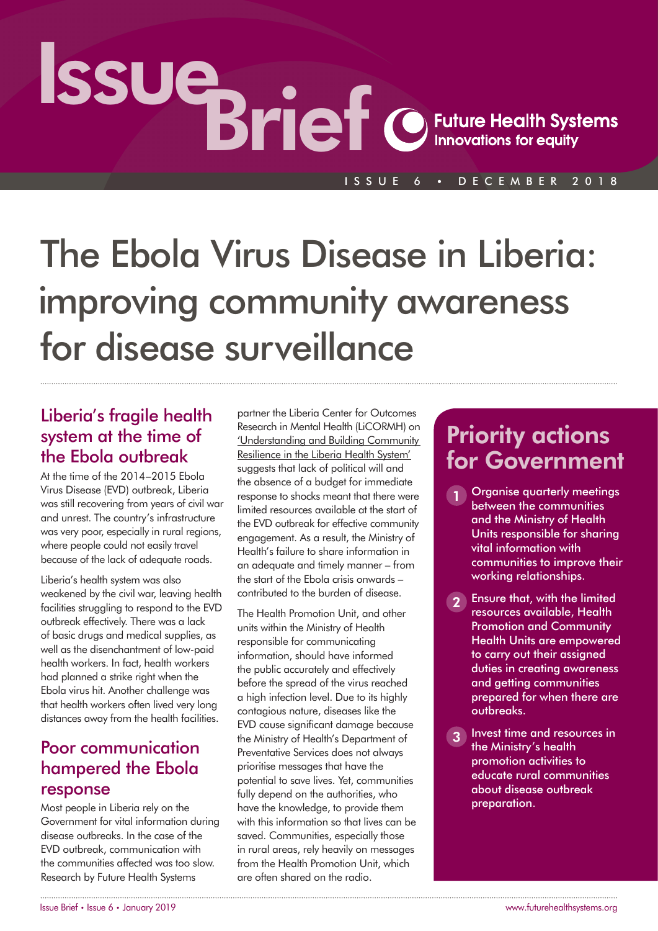# Issue Brief

#### ISSUE 6 • DECEMBER 2018

# The Ebola Virus Disease in Liberia: improving community awareness for disease surveillance

## Liberia's fragile health system at the time of the Ebola outbreak

At the time of the 2014–2015 Ebola Virus Disease (EVD) outbreak, Liberia was still recovering from years of civil war and unrest. The country's infrastructure was very poor, especially in rural regions, where people could not easily travel because of the lack of adequate roads.

Liberia's health system was also weakened by the civil war, leaving health facilities struggling to respond to the EVD outbreak effectively. There was a lack of basic drugs and medical supplies, as well as the disenchantment of low-paid health workers. In fact, health workers had planned a strike right when the Ebola virus hit. Another challenge was that health workers often lived very long distances away from the health facilities.

## Poor communication hampered the Ebola response

Most people in Liberia rely on the Government for vital information during disease outbreaks. In the case of the EVD outbreak, communication with the communities affected was too slow. Research by Future Health Systems

partner the Liberia Center for Outcomes Research in Mental Health (LiCORMH) on ['Understanding and Building Community](http://www.futurehealthsystems.org/liberia/)  [Resilience in the Liberia Health System'](http://www.futurehealthsystems.org/liberia/) suggests that lack of political will and the absence of a budget for immediate response to shocks meant that there were limited resources available at the start of the EVD outbreak for effective community engagement. As a result, the Ministry of Health's failure to share information in an adequate and timely manner – from the start of the Ebola crisis onwards – contributed to the burden of disease.

The Health Promotion Unit, and other units within the Ministry of Health responsible for communicating information, should have informed the public accurately and effectively before the spread of the virus reached a high infection level. Due to its highly contagious nature, diseases like the EVD cause significant damage because the Ministry of Health's Department of Preventative Services does not always prioritise messages that have the potential to save lives. Yet, communities fully depend on the authorities, who have the knowledge, to provide them with this information so that lives can be saved. Communities, especially those in rural areas, rely heavily on messages from the Health Promotion Unit, which are often shared on the radio.

# Priority actions for Government

- 1 Organise quarterly meetings between the communities and the Ministry of Health Units responsible for sharing vital information with communities to improve their working relationships.
- **2** Ensure that, with the limited resources available, Health Promotion and Community Health Units are empowered to carry out their assigned duties in creating awareness and getting communities prepared for when there are outbreaks.
- 3 Invest time and resources in the Ministry's health promotion activities to educate rural communities about disease outbreak preparation.